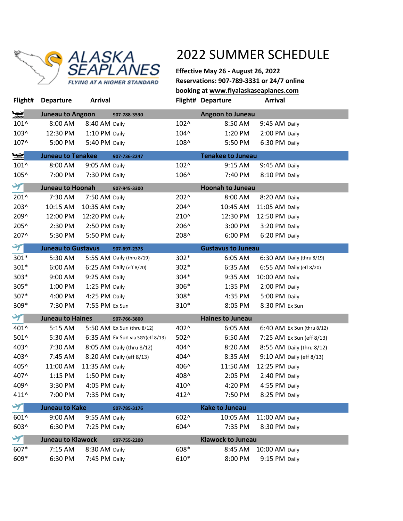

**Effective May 26 - August 26, 2022 Reservations: 907-789-3331 or 24/7 online booking at www.flyalaskaseaplanes.com Flight# Departure Arrival Flight# Departure Arrival**

| ❤                     | <b>Juneau to Angoon</b>   |                | 907-788-3530                             |               | <b>Angoon to Juneau</b>  |                           |                            |  |
|-----------------------|---------------------------|----------------|------------------------------------------|---------------|--------------------------|---------------------------|----------------------------|--|
| 101^                  | 8:00 AM                   | 8:40 AM Daily  |                                          | 102^          | 8:50 AM                  | 9:45 AM Daily             |                            |  |
| 103^                  | 12:30 PM                  | 1:10 PM Daily  |                                          | $104^{\circ}$ | 1:20 PM                  | 2:00 PM Daily             |                            |  |
| 107^                  | 5:00 PM                   | 5:40 PM Daily  |                                          | 108^          | 5:50 PM                  | 6:30 PM Daily             |                            |  |
| $\blacktriangleright$ | <b>Juneau to Tenakee</b>  |                | <b>Tenakee to Juneau</b><br>907-736-2247 |               |                          |                           |                            |  |
| 101^                  | 8:00 AM                   | 9:05 AM Daily  |                                          | 102^          | 9:15 AM                  | 9:45 AM Daily             |                            |  |
| 105^                  | 7:00 PM                   | 7:30 PM Daily  |                                          | 106^          | 7:40 PM                  | 8:10 PM Daily             |                            |  |
| $\blacktriangledown$  | <b>Juneau to Hoonah</b>   |                | 907-945-3300                             |               | <b>Hoonah to Juneau</b>  |                           |                            |  |
| 201^                  | 7:30 AM                   | 7:50 AM Daily  |                                          | 202^          | 8:00 AM                  | 8:20 AM Daily             |                            |  |
| 203^                  | 10:15 AM                  | 10:35 AM Daily |                                          | 204^          | 10:45 AM                 | 11:05 AM Daily            |                            |  |
| 209^                  | 12:00 PM                  | 12:20 PM Daily |                                          | 210^          | 12:30 PM                 | 12:50 PM Daily            |                            |  |
| 205^                  | 2:30 PM                   | 2:50 PM Daily  |                                          | 206^          | 3:00 PM                  | 3:20 PM Daily             |                            |  |
| 207^                  | 5:30 PM                   | 5:50 PM Daily  |                                          | 208^          | 6:00 PM                  | 6:20 PM Daily             |                            |  |
| $\blacktriangledown$  | <b>Juneau to Gustavus</b> |                | 907-697-2375                             |               |                          | <b>Gustavus to Juneau</b> |                            |  |
| $301*$                | 5:30 AM                   |                | 5:55 AM Daily (thru 8/19)                | $302*$        | 6:05 AM                  |                           | 6:30 AM Daily (thru 8/19)  |  |
| 301*                  | 6:00 AM                   |                | 6:25 AM Daily (eff 8/20)                 | $302*$        | 6:35 AM                  |                           | 6:55 AM Daily (eff 8/20)   |  |
| $303*$                | 9:00 AM                   | 9:25 AM Daily  |                                          | $304*$        | 9:35 AM                  | 10:00 AM Daily            |                            |  |
| 305*                  | 1:00 PM                   | 1:25 PM Daily  |                                          | 306*          | 1:35 PM                  | 2:00 PM Daily             |                            |  |
| 307*                  | 4:00 PM                   | 4:25 PM Daily  |                                          | 308*          | 4:35 PM                  | 5:00 PM Daily             |                            |  |
| 309*                  | 7:30 PM                   | 7:55 PM Ex Sun |                                          | 310*          | 8:05 PM                  | 8:30 PM Ex Sun            |                            |  |
| $\blacktriangledown$  | <b>Juneau to Haines</b>   |                | 907-766-3800                             |               | <b>Haines to Juneau</b>  |                           |                            |  |
| 401^                  | 5:15 AM                   |                | 5:50 AM Ex Sun (thru 8/12)               | 402^          | 6:05 AM                  |                           | 6:40 AM Ex Sun (thru 8/12) |  |
| 501^                  | 5:30 AM                   |                | 6:35 AM Ex Sun via SGY(eff 8/13)         | $502^{\circ}$ | 6:50 AM                  |                           | 7:25 AM Ex Sun (eff 8/13)  |  |
| 403^                  | 7:30 AM                   |                | 8:05 AM Daily (thru 8/12)                | 404^          | 8:20 AM                  |                           | 8:55 AM Daily (thru 8/12)  |  |
| 403^                  | 7:45 AM                   |                | 8:20 AM Daily (eff 8/13)                 | 404^          | 8:35 AM                  |                           | 9:10 AM Daily (eff 8/13)   |  |
| 405^                  | 11:00 AM                  | 11:35 AM Daily |                                          | 406^          | 11:50 AM                 | 12:25 PM Daily            |                            |  |
| 407^                  | 1:15 PM                   | 1:50 PM Daily  |                                          | 408^          | 2:05 PM                  | 2:40 PM Daily             |                            |  |
| 409^                  | 3:30 PM                   | 4:05 PM Daily  |                                          | 410^          | 4:20 PM                  | 4:55 PM Daily             |                            |  |
| 411^                  | 7:00 PM                   | 7:35 PM Daily  |                                          | 412^          | 7:50 PM                  | 8:25 PM Daily             |                            |  |
|                       | <b>Juneau to Kake</b>     |                | 907-785-3176                             |               | <b>Kake to Juneau</b>    |                           |                            |  |
| 601^                  | 9:00 AM                   | 9:55 AM Daily  |                                          | 602^          | 10:05 AM                 | 11:00 AM Daily            |                            |  |
| 603^                  | 6:30 PM                   | 7:25 PM Daily  |                                          | 604^          | 7:35 PM                  | 8:30 PM Daily             |                            |  |
| $\blacktriangledown$  | <b>Juneau to Klawock</b>  |                | 907-755-2200                             |               | <b>Klawock to Juneau</b> |                           |                            |  |
| 607*                  | 7:15 AM                   | 8:30 AM Daily  |                                          | 608*          | 8:45 AM                  | 10:00 AM Daily            |                            |  |
| 609*                  | 6:30 PM                   | 7:45 PM Daily  |                                          | 610*          | 8:00 PM                  | 9:15 PM Daily             |                            |  |